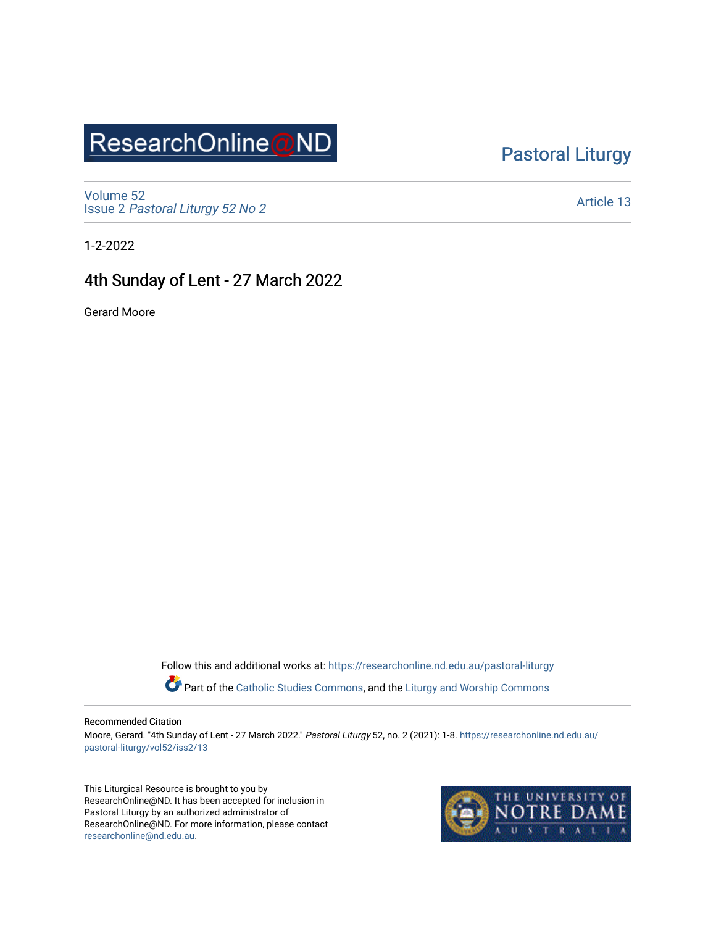## ResearchOnline@ND

### [Pastoral Liturgy](https://researchonline.nd.edu.au/pastoral-liturgy)

[Volume 52](https://researchonline.nd.edu.au/pastoral-liturgy/vol52) Issue 2 [Pastoral Liturgy 52 No 2](https://researchonline.nd.edu.au/pastoral-liturgy/vol52/iss2)

[Article 13](https://researchonline.nd.edu.au/pastoral-liturgy/vol52/iss2/13) 

1-2-2022

#### 4th Sunday of Lent - 27 March 2022

Gerard Moore

Follow this and additional works at: [https://researchonline.nd.edu.au/pastoral-liturgy](https://researchonline.nd.edu.au/pastoral-liturgy?utm_source=researchonline.nd.edu.au%2Fpastoral-liturgy%2Fvol52%2Fiss2%2F13&utm_medium=PDF&utm_campaign=PDFCoverPages)

Part of the [Catholic Studies Commons,](http://network.bepress.com/hgg/discipline/1294?utm_source=researchonline.nd.edu.au%2Fpastoral-liturgy%2Fvol52%2Fiss2%2F13&utm_medium=PDF&utm_campaign=PDFCoverPages) and the Liturgy and Worship Commons

#### Recommended Citation

Moore, Gerard. "4th Sunday of Lent - 27 March 2022." Pastoral Liturgy 52, no. 2 (2021): 1-8. [https://researchonline.nd.edu.au/](https://researchonline.nd.edu.au/pastoral-liturgy/vol52/iss2/13?utm_source=researchonline.nd.edu.au%2Fpastoral-liturgy%2Fvol52%2Fiss2%2F13&utm_medium=PDF&utm_campaign=PDFCoverPages) [pastoral-liturgy/vol52/iss2/13](https://researchonline.nd.edu.au/pastoral-liturgy/vol52/iss2/13?utm_source=researchonline.nd.edu.au%2Fpastoral-liturgy%2Fvol52%2Fiss2%2F13&utm_medium=PDF&utm_campaign=PDFCoverPages) 

This Liturgical Resource is brought to you by ResearchOnline@ND. It has been accepted for inclusion in Pastoral Liturgy by an authorized administrator of ResearchOnline@ND. For more information, please contact [researchonline@nd.edu.au.](mailto:researchonline@nd.edu.au)

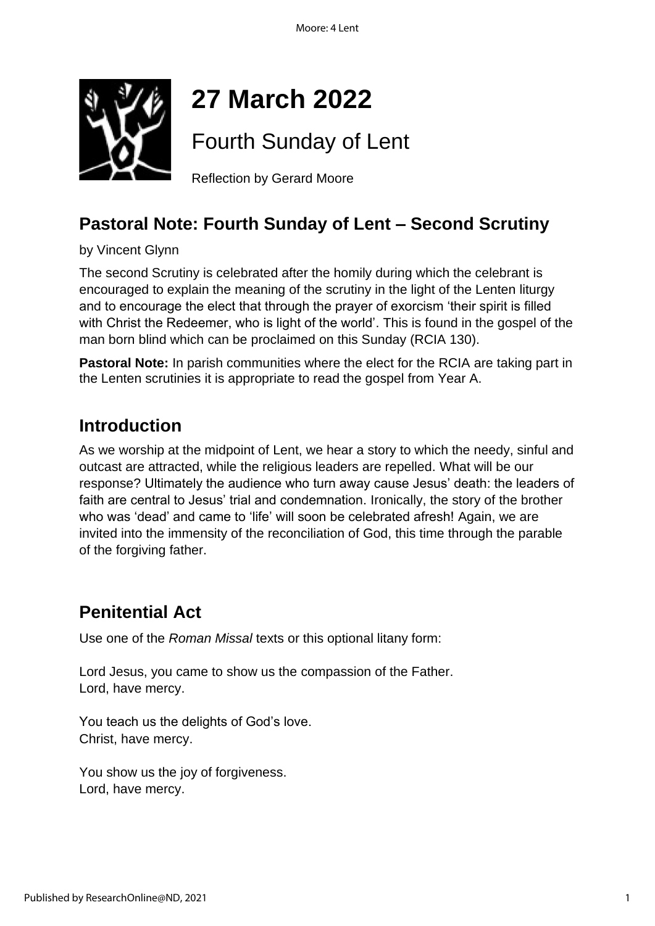

# **27 March 2022**

Fourth Sunday of Lent

Reflection by Gerard Moore

### **Pastoral Note: Fourth Sunday of Lent – Second Scrutiny**

by Vincent Glynn

The second Scrutiny is celebrated after the homily during which the celebrant is encouraged to explain the meaning of the scrutiny in the light of the Lenten liturgy and to encourage the elect that through the prayer of exorcism 'their spirit is filled with Christ the Redeemer, who is light of the world'. This is found in the gospel of the man born blind which can be proclaimed on this Sunday (RCIA 130).

**Pastoral Note:** In parish communities where the elect for the RCIA are taking part in the Lenten scrutinies it is appropriate to read the gospel from Year A.

### **Introduction**

As we worship at the midpoint of Lent, we hear a story to which the needy, sinful and outcast are attracted, while the religious leaders are repelled. What will be our response? Ultimately the audience who turn away cause Jesus' death: the leaders of faith are central to Jesus' trial and condemnation. Ironically, the story of the brother who was 'dead' and came to 'life' will soon be celebrated afresh! Again, we are invited into the immensity of the reconciliation of God, this time through the parable of the forgiving father.

### **Penitential Act**

Use one of the *Roman Missal* texts or this optional litany form:

Lord Jesus, you came to show us the compassion of the Father. Lord, have mercy.

You teach us the delights of God's love. Christ, have mercy.

You show us the joy of forgiveness. Lord, have mercy.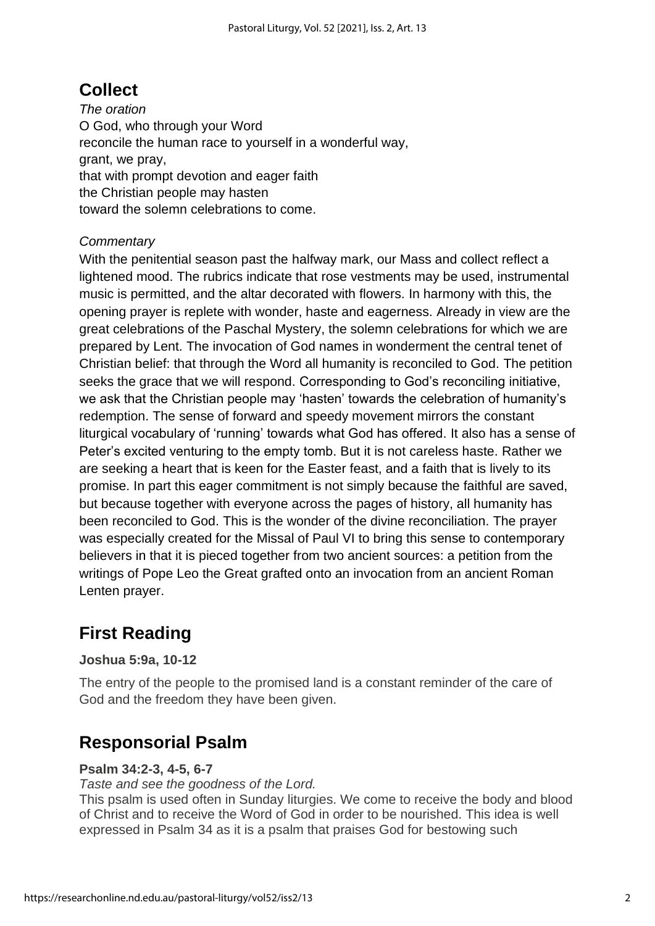### **Collect**

*The oration* O God, who through your Word reconcile the human race to yourself in a wonderful way, grant, we pray, that with prompt devotion and eager faith the Christian people may hasten toward the solemn celebrations to come.

#### *Commentary*

With the penitential season past the halfway mark, our Mass and collect reflect a lightened mood. The rubrics indicate that rose vestments may be used, instrumental music is permitted, and the altar decorated with flowers. In harmony with this, the opening prayer is replete with wonder, haste and eagerness. Already in view are the great celebrations of the Paschal Mystery, the solemn celebrations for which we are prepared by Lent. The invocation of God names in wonderment the central tenet of Christian belief: that through the Word all humanity is reconciled to God. The petition seeks the grace that we will respond. Corresponding to God's reconciling initiative, we ask that the Christian people may 'hasten' towards the celebration of humanity's redemption. The sense of forward and speedy movement mirrors the constant liturgical vocabulary of 'running' towards what God has offered. It also has a sense of Peter's excited venturing to the empty tomb. But it is not careless haste. Rather we are seeking a heart that is keen for the Easter feast, and a faith that is lively to its promise. In part this eager commitment is not simply because the faithful are saved, but because together with everyone across the pages of history, all humanity has been reconciled to God. This is the wonder of the divine reconciliation. The prayer was especially created for the Missal of Paul VI to bring this sense to contemporary believers in that it is pieced together from two ancient sources: a petition from the writings of Pope Leo the Great grafted onto an invocation from an ancient Roman Lenten prayer.

### **First Reading**

#### **Joshua 5:9a, 10-12**

The entry of the people to the promised land is a constant reminder of the care of God and the freedom they have been given.

### **Responsorial Psalm**

#### **Psalm 34:2-3, 4-5, 6-7**

*Taste and see the goodness of the Lord.*

This psalm is used often in Sunday liturgies. We come to receive the body and blood of Christ and to receive the Word of God in order to be nourished. This idea is well expressed in Psalm 34 as it is a psalm that praises God for bestowing such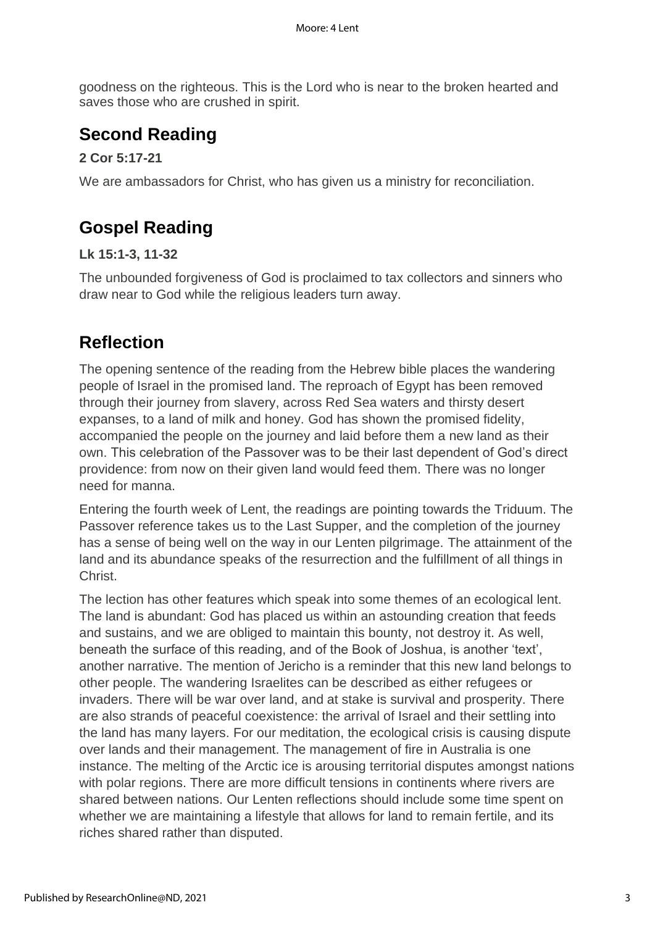goodness on the righteous. This is the Lord who is near to the broken hearted and saves those who are crushed in spirit.

### **Second Reading**

#### **2 Cor 5:17-21**

We are ambassadors for Christ, who has given us a ministry for reconciliation.

### **Gospel Reading**

#### **Lk 15:1-3, 11-32**

The unbounded forgiveness of God is proclaimed to tax collectors and sinners who draw near to God while the religious leaders turn away.

### **Reflection**

The opening sentence of the reading from the Hebrew bible places the wandering people of Israel in the promised land. The reproach of Egypt has been removed through their journey from slavery, across Red Sea waters and thirsty desert expanses, to a land of milk and honey. God has shown the promised fidelity, accompanied the people on the journey and laid before them a new land as their own. This celebration of the Passover was to be their last dependent of God's direct providence: from now on their given land would feed them. There was no longer need for manna.

Entering the fourth week of Lent, the readings are pointing towards the Triduum. The Passover reference takes us to the Last Supper, and the completion of the journey has a sense of being well on the way in our Lenten pilgrimage. The attainment of the land and its abundance speaks of the resurrection and the fulfillment of all things in Christ.

The lection has other features which speak into some themes of an ecological lent. The land is abundant: God has placed us within an astounding creation that feeds and sustains, and we are obliged to maintain this bounty, not destroy it. As well, beneath the surface of this reading, and of the Book of Joshua, is another 'text', another narrative. The mention of Jericho is a reminder that this new land belongs to other people. The wandering Israelites can be described as either refugees or invaders. There will be war over land, and at stake is survival and prosperity. There are also strands of peaceful coexistence: the arrival of Israel and their settling into the land has many layers. For our meditation, the ecological crisis is causing dispute over lands and their management. The management of fire in Australia is one instance. The melting of the Arctic ice is arousing territorial disputes amongst nations with polar regions. There are more difficult tensions in continents where rivers are shared between nations. Our Lenten reflections should include some time spent on whether we are maintaining a lifestyle that allows for land to remain fertile, and its riches shared rather than disputed.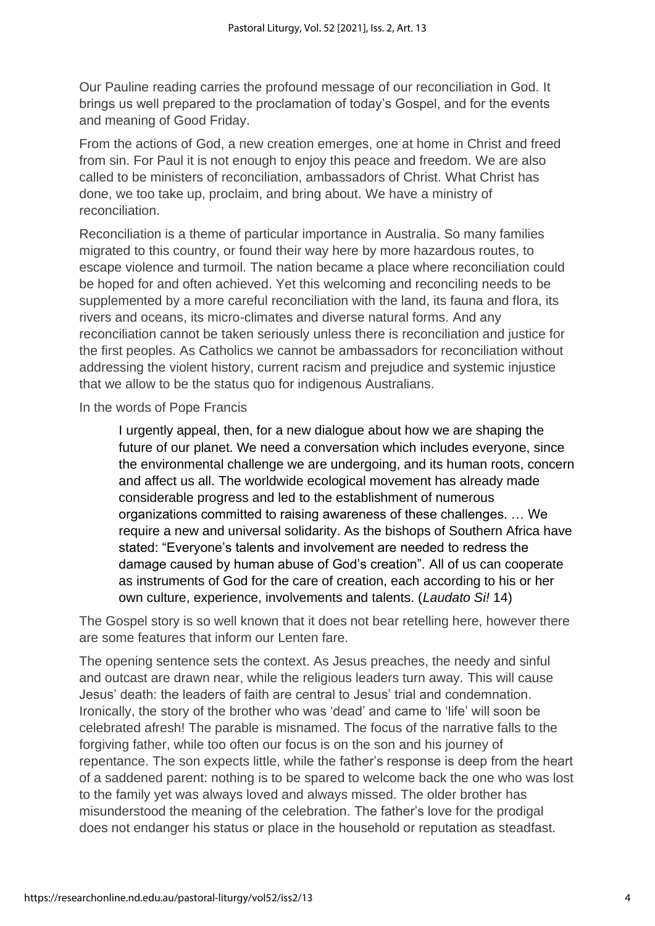Our Pauline reading carries the profound message of our reconciliation in God. It brings us well prepared to the proclamation of today's Gospel, and for the events and meaning of Good Friday.

From the actions of God, a new creation emerges, one at home in Christ and freed from sin. For Paul it is not enough to enjoy this peace and freedom. We are also called to be ministers of reconciliation, ambassadors of Christ. What Christ has done, we too take up, proclaim, and bring about. We have a ministry of reconciliation.

Reconciliation is a theme of particular importance in Australia. So many families migrated to this country, or found their way here by more hazardous routes, to escape violence and turmoil. The nation became a place where reconciliation could be hoped for and often achieved. Yet this welcoming and reconciling needs to be supplemented by a more careful reconciliation with the land, its fauna and flora, its rivers and oceans, its micro-climates and diverse natural forms. And any reconciliation cannot be taken seriously unless there is reconciliation and justice for the first peoples. As Catholics we cannot be ambassadors for reconciliation without addressing the violent history, current racism and prejudice and systemic injustice that we allow to be the status quo for indigenous Australians.

In the words of Pope Francis

I urgently appeal, then, for a new dialogue about how we are shaping the future of our planet. We need a conversation which includes everyone, since the environmental challenge we are undergoing, and its human roots, concern and affect us all. The worldwide ecological movement has already made considerable progress and led to the establishment of numerous organizations committed to raising awareness of these challenges. … We require a new and universal solidarity. As the bishops of Southern Africa have stated: "Everyone's talents and involvement are needed to redress the damage caused by human abuse of God's creation". All of us can cooperate as instruments of God for the care of creation, each according to his or her own culture, experience, involvements and talents. (*Laudato Si!* 14)

The Gospel story is so well known that it does not bear retelling here, however there are some features that inform our Lenten fare.

The opening sentence sets the context. As Jesus preaches, the needy and sinful and outcast are drawn near, while the religious leaders turn away. This will cause Jesus' death: the leaders of faith are central to Jesus' trial and condemnation. Ironically, the story of the brother who was 'dead' and came to 'life' will soon be celebrated afresh! The parable is misnamed. The focus of the narrative falls to the forgiving father, while too often our focus is on the son and his journey of repentance. The son expects little, while the father's response is deep from the heart of a saddened parent: nothing is to be spared to welcome back the one who was lost to the family yet was always loved and always missed. The older brother has misunderstood the meaning of the celebration. The father's love for the prodigal does not endanger his status or place in the household or reputation as steadfast.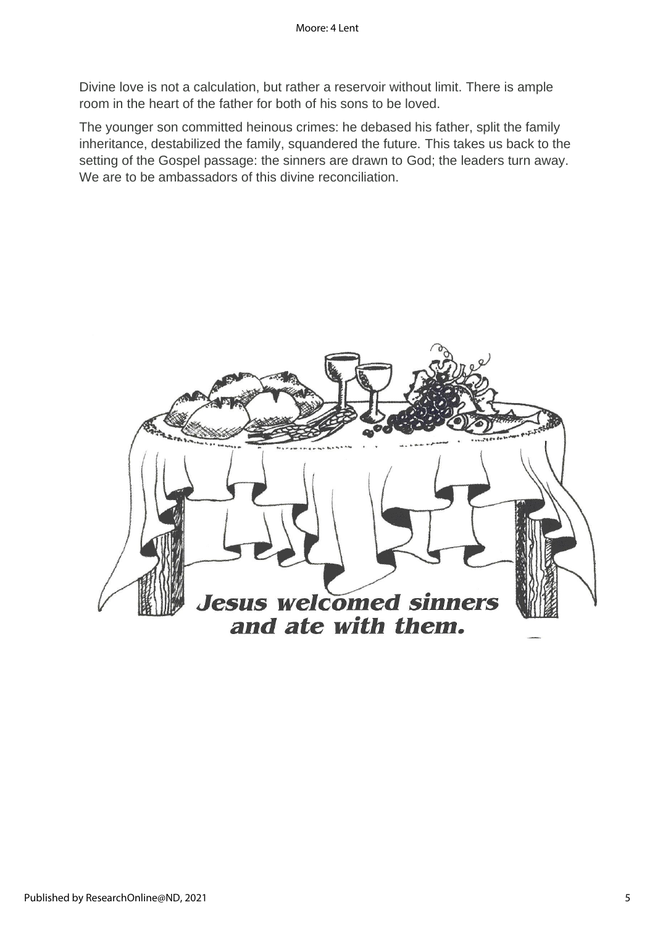Divine love is not a calculation, but rather a reservoir without limit. There is ample room in the heart of the father for both of his sons to be loved.

The younger son committed heinous crimes: he debased his father, split the family inheritance, destabilized the family, squandered the future. This takes us back to the setting of the Gospel passage: the sinners are drawn to God; the leaders turn away. We are to be ambassadors of this divine reconciliation.

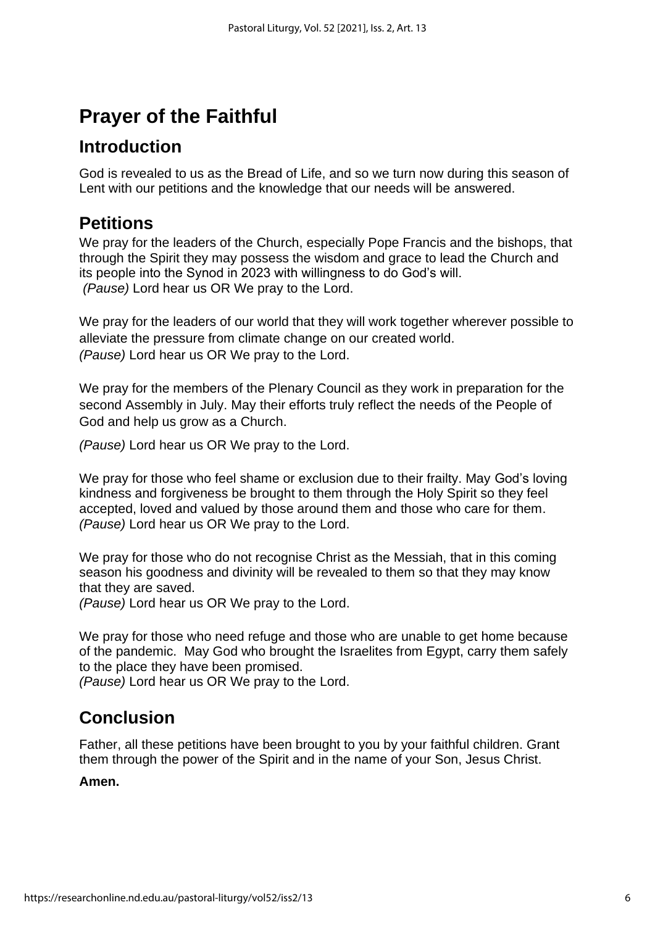## **Prayer of the Faithful**

### **Introduction**

God is revealed to us as the Bread of Life, and so we turn now during this season of Lent with our petitions and the knowledge that our needs will be answered.

### **Petitions**

We pray for the leaders of the Church, especially Pope Francis and the bishops, that through the Spirit they may possess the wisdom and grace to lead the Church and its people into the Synod in 2023 with willingness to do God's will. *(Pause)* Lord hear us OR We pray to the Lord.

We pray for the leaders of our world that they will work together wherever possible to alleviate the pressure from climate change on our created world. *(Pause)* Lord hear us OR We pray to the Lord.

We pray for the members of the Plenary Council as they work in preparation for the second Assembly in July. May their efforts truly reflect the needs of the People of God and help us grow as a Church.

*(Pause)* Lord hear us OR We pray to the Lord.

We pray for those who feel shame or exclusion due to their frailty. May God's loving kindness and forgiveness be brought to them through the Holy Spirit so they feel accepted, loved and valued by those around them and those who care for them. *(Pause)* Lord hear us OR We pray to the Lord.

We pray for those who do not recognise Christ as the Messiah, that in this coming season his goodness and divinity will be revealed to them so that they may know that they are saved.

*(Pause)* Lord hear us OR We pray to the Lord.

We pray for those who need refuge and those who are unable to get home because of the pandemic. May God who brought the Israelites from Egypt, carry them safely to the place they have been promised.

*(Pause)* Lord hear us OR We pray to the Lord.

### **Conclusion**

Father, all these petitions have been brought to you by your faithful children. Grant them through the power of the Spirit and in the name of your Son, Jesus Christ.

#### **Amen.**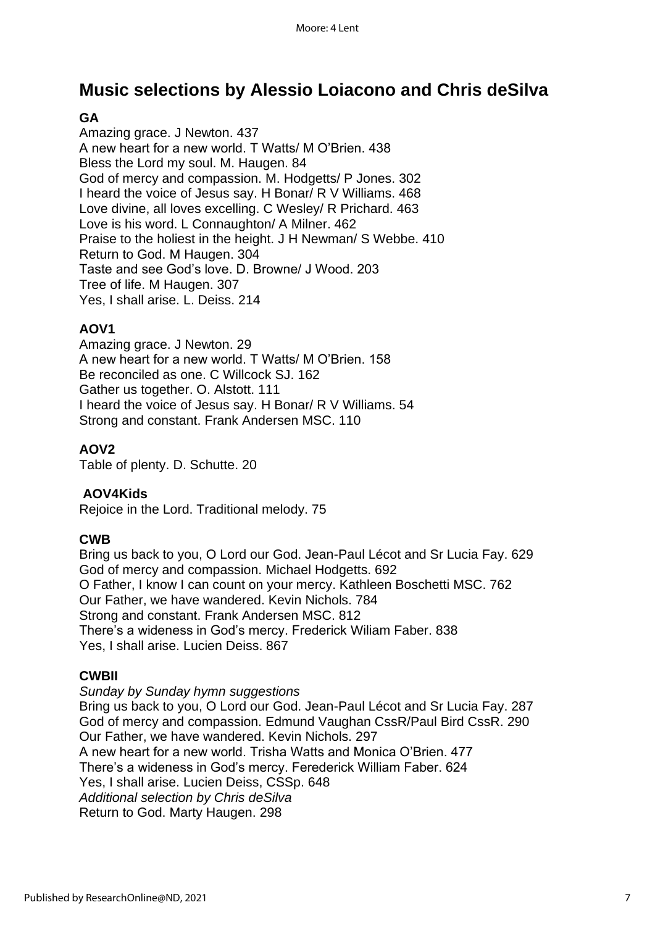### **Music selections by Alessio Loiacono and Chris deSilva**

#### **GA**

Amazing grace. J Newton. 437 A new heart for a new world. T Watts/ M O'Brien. 438 Bless the Lord my soul. M. Haugen. 84 God of mercy and compassion. M. Hodgetts/ P Jones. 302 I heard the voice of Jesus say. H Bonar/ R V Williams. 468 Love divine, all loves excelling. C Wesley/ R Prichard. 463 Love is his word. L Connaughton/ A Milner. 462 Praise to the holiest in the height. J H Newman/ S Webbe. 410 Return to God. M Haugen. 304 Taste and see God's love. D. Browne/ J Wood. 203 Tree of life. M Haugen. 307 Yes, I shall arise. L. Deiss. 214

#### **AOV1**

Amazing grace. J Newton. 29 A new heart for a new world. T Watts/ M O'Brien. 158 Be reconciled as one. C Willcock SJ. 162 Gather us together. O. Alstott. 111 I heard the voice of Jesus say. H Bonar/ R V Williams. 54 Strong and constant. Frank Andersen MSC. 110

#### **AOV2**

Table of plenty. D. Schutte. 20

#### **AOV4Kids**

Rejoice in the Lord. Traditional melody. 75

#### **CWB**

Bring us back to you, O Lord our God. Jean-Paul Lécot and Sr Lucia Fay. 629 God of mercy and compassion. Michael Hodgetts. 692 O Father, I know I can count on your mercy. Kathleen Boschetti MSC. 762 Our Father, we have wandered. Kevin Nichols. 784 Strong and constant. Frank Andersen MSC. 812 There's a wideness in God's mercy. Frederick Wiliam Faber. 838 Yes, I shall arise. Lucien Deiss. 867

#### **CWBII**

*Sunday by Sunday hymn suggestions* Bring us back to you, O Lord our God. Jean-Paul Lécot and Sr Lucia Fay. 287 God of mercy and compassion. Edmund Vaughan CssR/Paul Bird CssR. 290 Our Father, we have wandered. Kevin Nichols. 297 A new heart for a new world. Trisha Watts and Monica O'Brien. 477 There's a wideness in God's mercy. Ferederick William Faber. 624 Yes, I shall arise. Lucien Deiss, CSSp. 648 *Additional selection by Chris deSilva* Return to God. Marty Haugen. 298